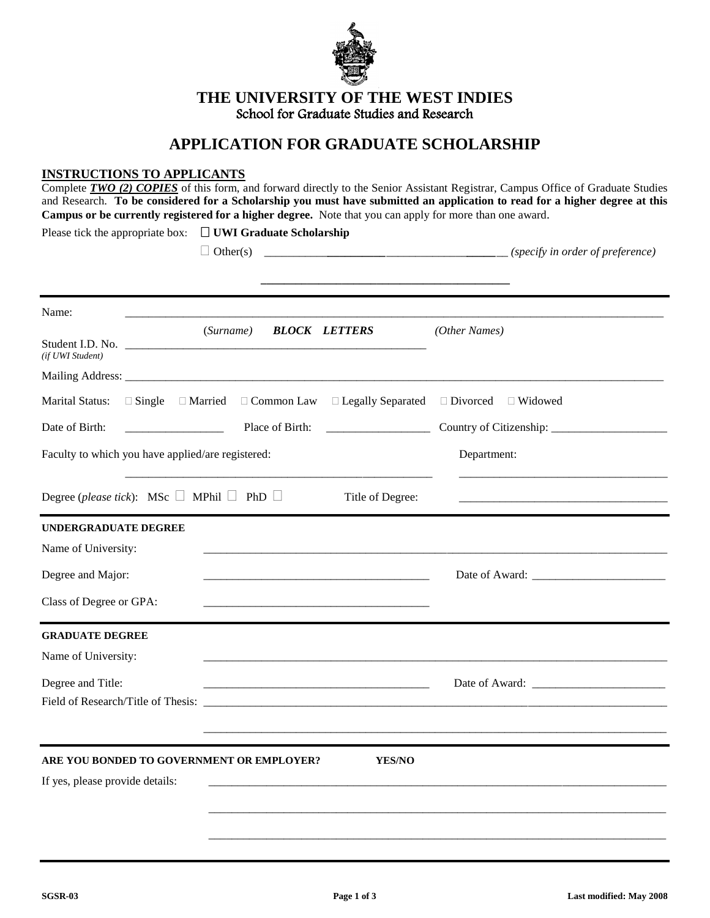

**THE UNIVERSITY OF THE WEST INDIES** School for Graduate Studies and Research

# **APPLICATION FOR GRADUATE SCHOLARSHIP**

# **INSTRUCTIONS TO APPLICANTS**

| Complete TWO (2) COPIES of this form, and forward directly to the Senior Assistant Registrar, Campus Office of Graduate Studies<br>and Research. To be considered for a Scholarship you must have submitted an application to read for a higher degree at this<br>Campus or be currently registered for a higher degree. Note that you can apply for more than one award. |  |                                            |                                |  |  |
|---------------------------------------------------------------------------------------------------------------------------------------------------------------------------------------------------------------------------------------------------------------------------------------------------------------------------------------------------------------------------|--|--------------------------------------------|--------------------------------|--|--|
| Please tick the appropriate box: $\Box$ UWI Graduate Scholarship                                                                                                                                                                                                                                                                                                          |  |                                            |                                |  |  |
| Name:                                                                                                                                                                                                                                                                                                                                                                     |  | (Surname) <b>BLOCK LETTERS</b>             | (Other Names)                  |  |  |
| Student I.D. No.<br>(if UWI Student)                                                                                                                                                                                                                                                                                                                                      |  |                                            |                                |  |  |
| Marital Status:<br>$\Box$ Single $\Box$ Married<br>Date of Birth:                                                                                                                                                                                                                                                                                                         |  | $\Box$ Common Law $\Box$ Legally Separated | $\Box$ Divorced $\Box$ Widowed |  |  |
| Faculty to which you have applied/are registered:                                                                                                                                                                                                                                                                                                                         |  |                                            | Department:                    |  |  |
| Degree ( <i>please tick</i> ): MSc $\Box$ MPhil $\Box$ PhD $\Box$                                                                                                                                                                                                                                                                                                         |  | Title of Degree:                           |                                |  |  |
| <b>UNDERGRADUATE DEGREE</b><br>Name of University:                                                                                                                                                                                                                                                                                                                        |  |                                            |                                |  |  |
| Degree and Major:<br>Class of Degree or GPA:                                                                                                                                                                                                                                                                                                                              |  |                                            |                                |  |  |
| <b>GRADUATE DEGREE</b><br>Name of University:                                                                                                                                                                                                                                                                                                                             |  |                                            |                                |  |  |
| Degree and Title:<br>Field of Research/Title of Thesis:                                                                                                                                                                                                                                                                                                                   |  |                                            |                                |  |  |
| ARE YOU BONDED TO GOVERNMENT OR EMPLOYER?<br>If yes, please provide details:                                                                                                                                                                                                                                                                                              |  | YES/NO                                     |                                |  |  |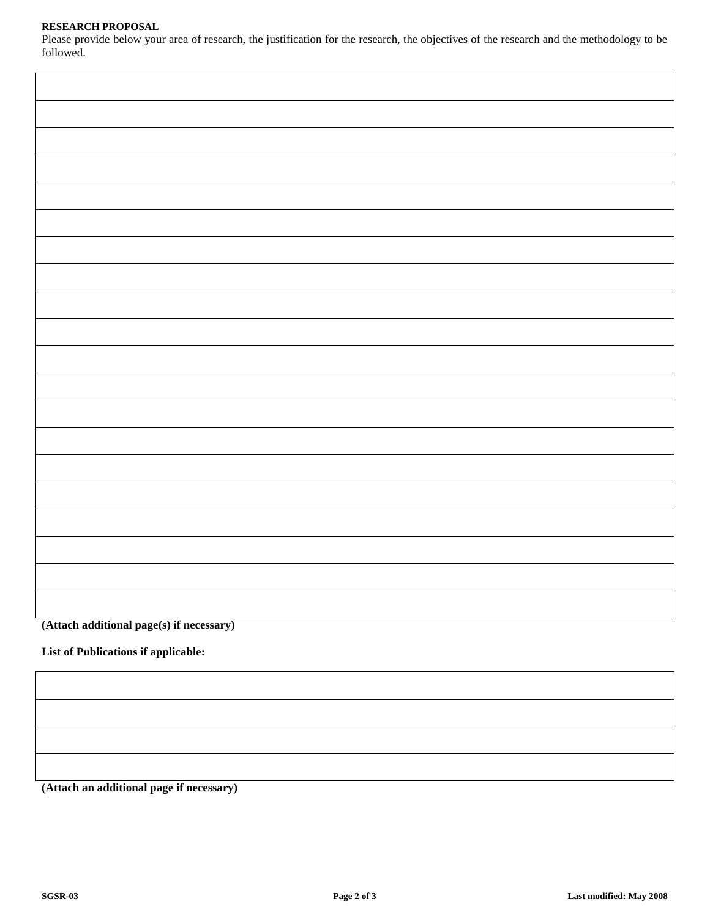## **RESEARCH PROPOSAL**

Please provide below your area of research, the justification for the research, the objectives of the research and the methodology to be followed.

**(Attach additional page(s) if necessary)**

**List of Publications if applicable:**

**(Attach an additional page if necessary)**